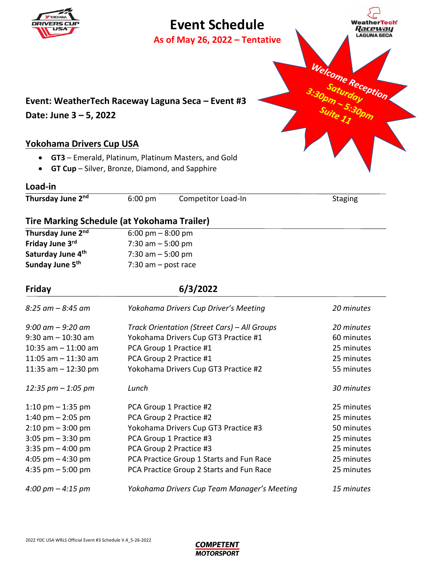# **Event Schedule**

**As of May 26, 2022 – Tentative** 



## **Yokohama Drivers Cup USA**

- **GT3** Emerald, Platinum, Platinum Masters, and Gold
- **GT Cup** Silver, Bronze, Diamond, and Sapphire

### **Load-in**

**DRIVER** 

Thursday June 2<sup>nd</sup> 6:00 pm Competitor Load-In Staging

## **Tire Marking Schedule (at Yokohama Trailer)**

| Thursday June 2 <sup>nd</sup> | $6:00 \text{ pm} - 8:00 \text{ pm}$ |
|-------------------------------|-------------------------------------|
| Friday June 3rd               | 7:30 am $-5:00$ pm                  |
| Saturday June 4 <sup>th</sup> | 7:30 am $-5:00$ pm                  |
| Sunday June 5 <sup>th</sup>   | 7:30 am $-$ post race               |
|                               |                                     |

### **Friday 6/3/2022**

| $8:25$ am $-8:45$ am                | Yokohama Drivers Cup Driver's Meeting        | 20 minutes |
|-------------------------------------|----------------------------------------------|------------|
| $9:00$ am $-9:20$ am                | Track Orientation (Street Cars) – All Groups | 20 minutes |
| $9:30$ am $-10:30$ am               | Yokohama Drivers Cup GT3 Practice #1         | 60 minutes |
| 10:35 am $-$ 11:00 am               | PCA Group 1 Practice #1                      | 25 minutes |
| 11:05 am $-$ 11:30 am               | PCA Group 2 Practice #1                      | 25 minutes |
| 11:35 am $-$ 12:30 pm               | Yokohama Drivers Cup GT3 Practice #2         | 55 minutes |
| 12:35 $pm - 1:05$ pm                | Lunch                                        | 30 minutes |
| 1:10 pm $-$ 1:35 pm                 | PCA Group 1 Practice #2                      | 25 minutes |
| 1:40 pm $-$ 2:05 pm                 | PCA Group 2 Practice #2                      | 25 minutes |
| $2:10 \text{ pm} - 3:00 \text{ pm}$ | Yokohama Drivers Cup GT3 Practice #3         | 50 minutes |
| $3:05$ pm $-3:30$ pm                | PCA Group 1 Practice #3                      | 25 minutes |
| $3:35$ pm $-4:00$ pm                | PCA Group 2 Practice #3                      | 25 minutes |
| 4:05 pm $-$ 4:30 pm                 | PCA Practice Group 1 Starts and Fun Race     | 25 minutes |
| 4:35 pm $-5:00$ pm                  | PCA Practice Group 2 Starts and Fun Race     | 25 minutes |
| $4:00 \text{ pm} - 4:15 \text{ pm}$ | Yokohama Drivers Cup Team Manager's Meeting  | 15 minutes |

**COMPETENT MOTORSPORT**